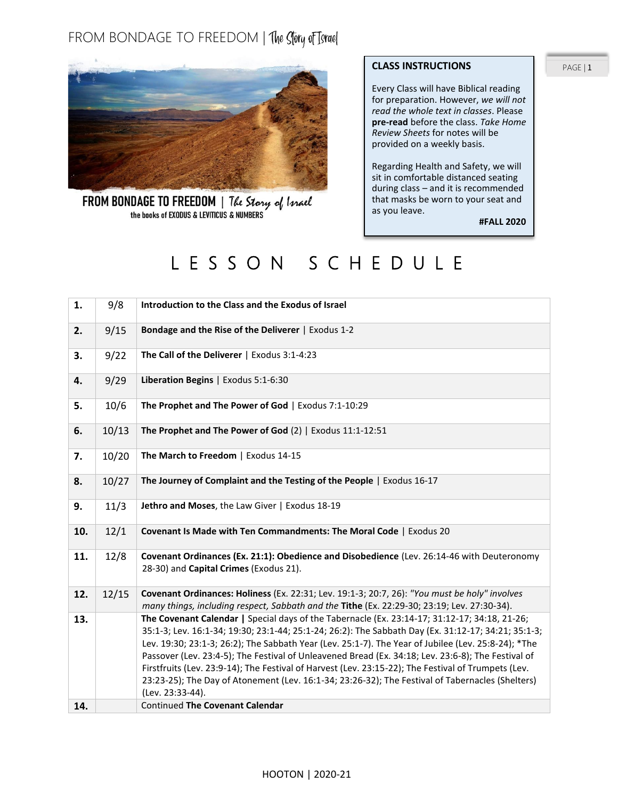## FROM BONDAGE TO FREEDOM | The Story of Tsrael



FROM BONDAGE TO FREEDOM | The Story of Israel

#### **CLASS INSTRUCTIONS**

Every Class will have Biblical reading for preparation. However, *we will not read the whole text in classes*. Please **pre-read** before the class. *Take Home Review Sheets* for notes will be provided on a weekly basis.

Regarding Health and Safety, we will sit in comfortable distanced seating during class – and it is recommended that masks be worn to your seat and as you leave.

**#FALL 2020**

# L E S S O N S C H E D U L E

| 1.  | 9/8   | Introduction to the Class and the Exodus of Israel                                                                                                                                                                                                                                                                                                                                                                                                                                                                                                                                                                                               |
|-----|-------|--------------------------------------------------------------------------------------------------------------------------------------------------------------------------------------------------------------------------------------------------------------------------------------------------------------------------------------------------------------------------------------------------------------------------------------------------------------------------------------------------------------------------------------------------------------------------------------------------------------------------------------------------|
| 2.  | 9/15  | Bondage and the Rise of the Deliverer   Exodus 1-2                                                                                                                                                                                                                                                                                                                                                                                                                                                                                                                                                                                               |
| 3.  | 9/22  | The Call of the Deliverer   Exodus 3:1-4:23                                                                                                                                                                                                                                                                                                                                                                                                                                                                                                                                                                                                      |
| 4.  | 9/29  | Liberation Begins   Exodus 5:1-6:30                                                                                                                                                                                                                                                                                                                                                                                                                                                                                                                                                                                                              |
| 5.  | 10/6  | The Prophet and The Power of God   Exodus 7:1-10:29                                                                                                                                                                                                                                                                                                                                                                                                                                                                                                                                                                                              |
| 6.  | 10/13 | The Prophet and The Power of God (2)   Exodus 11:1-12:51                                                                                                                                                                                                                                                                                                                                                                                                                                                                                                                                                                                         |
| 7.  | 10/20 | The March to Freedom   Exodus 14-15                                                                                                                                                                                                                                                                                                                                                                                                                                                                                                                                                                                                              |
| 8.  | 10/27 | The Journey of Complaint and the Testing of the People   Exodus 16-17                                                                                                                                                                                                                                                                                                                                                                                                                                                                                                                                                                            |
| 9.  | 11/3  | Jethro and Moses, the Law Giver   Exodus 18-19                                                                                                                                                                                                                                                                                                                                                                                                                                                                                                                                                                                                   |
| 10. | 12/1  | Covenant Is Made with Ten Commandments: The Moral Code   Exodus 20                                                                                                                                                                                                                                                                                                                                                                                                                                                                                                                                                                               |
| 11. | 12/8  | Covenant Ordinances (Ex. 21:1): Obedience and Disobedience (Lev. 26:14-46 with Deuteronomy<br>28-30) and Capital Crimes (Exodus 21).                                                                                                                                                                                                                                                                                                                                                                                                                                                                                                             |
| 12. | 12/15 | Covenant Ordinances: Holiness (Ex. 22:31; Lev. 19:1-3; 20:7, 26): "You must be holy" involves<br>many things, including respect, Sabbath and the Tithe (Ex. 22:29-30; 23:19; Lev. 27:30-34).                                                                                                                                                                                                                                                                                                                                                                                                                                                     |
| 13. |       | The Covenant Calendar   Special days of the Tabernacle (Ex. 23:14-17; 31:12-17; 34:18, 21-26;<br>35:1-3; Lev. 16:1-34; 19:30; 23:1-44; 25:1-24; 26:2): The Sabbath Day (Ex. 31:12-17; 34:21; 35:1-3;<br>Lev. 19:30; 23:1-3; 26:2); The Sabbath Year (Lev. 25:1-7). The Year of Jubilee (Lev. 25:8-24); *The<br>Passover (Lev. 23:4-5); The Festival of Unleavened Bread (Ex. 34:18; Lev. 23:6-8); The Festival of<br>Firstfruits (Lev. 23:9-14); The Festival of Harvest (Lev. 23:15-22); The Festival of Trumpets (Lev.<br>23:23-25); The Day of Atonement (Lev. 16:1-34; 23:26-32); The Festival of Tabernacles (Shelters)<br>(Lev. 23:33-44). |
| 14. |       | <b>Continued The Covenant Calendar</b>                                                                                                                                                                                                                                                                                                                                                                                                                                                                                                                                                                                                           |

PAGE | 1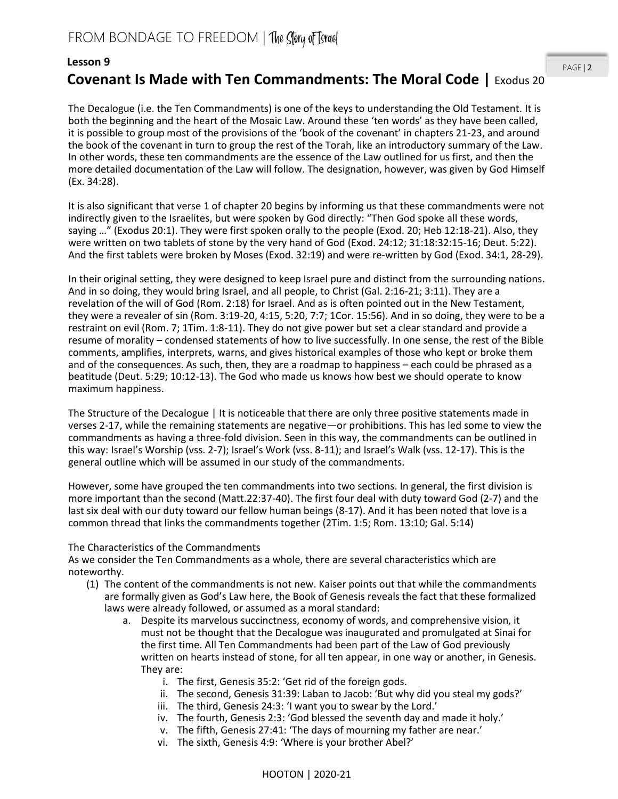#### **Lesson 9**

### **Covenant Is Made with Ten Commandments: The Moral Code |** Exodus 20

The Decalogue (i.e. the Ten Commandments) is one of the keys to understanding the Old Testament. It is both the beginning and the heart of the Mosaic Law. Around these 'ten words' as they have been called, it is possible to group most of the provisions of the 'book of the covenant' in chapters 21-23, and around the book of the covenant in turn to group the rest of the Torah, like an introductory summary of the Law. In other words, these ten commandments are the essence of the Law outlined for us first, and then the more detailed documentation of the Law will follow. The designation, however, was given by God Himself (Ex. 34:28).

It is also significant that verse 1 of chapter 20 begins by informing us that these commandments were not indirectly given to the Israelites, but were spoken by God directly: "Then God spoke all these words, saying …" (Exodus 20:1). They were first spoken orally to the people (Exod. 20; Heb 12:18-21). Also, they were written on two tablets of stone by the very hand of God (Exod. 24:12; 31:18:32:15-16; Deut. 5:22). And the first tablets were broken by Moses (Exod. 32:19) and were re-written by God (Exod. 34:1, 28-29).

In their original setting, they were designed to keep Israel pure and distinct from the surrounding nations. And in so doing, they would bring Israel, and all people, to Christ (Gal. 2:16-21; 3:11). They are a revelation of the will of God (Rom. 2:18) for Israel. And as is often pointed out in the New Testament, they were a revealer of sin (Rom. 3:19-20, 4:15, 5:20, 7:7; 1Cor. 15:56). And in so doing, they were to be a restraint on evil (Rom. 7; 1Tim. 1:8-11). They do not give power but set a clear standard and provide a resume of morality – condensed statements of how to live successfully. In one sense, the rest of the Bible comments, amplifies, interprets, warns, and gives historical examples of those who kept or broke them and of the consequences. As such, then, they are a roadmap to happiness – each could be phrased as a beatitude (Deut. 5:29; 10:12-13). The God who made us knows how best we should operate to know maximum happiness.

The Structure of the Decalogue | It is noticeable that there are only three positive statements made in verses 2-17, while the remaining statements are negative—or prohibitions. This has led some to view the commandments as having a three-fold division. Seen in this way, the commandments can be outlined in this way: Israel's Worship (vss. 2-7); Israel's Work (vss. 8-11); and Israel's Walk (vss. 12-17). This is the general outline which will be assumed in our study of the commandments.

However, some have grouped the ten commandments into two sections. In general, the first division is more important than the second (Matt.22:37-40). The first four deal with duty toward God (2-7) and the last six deal with our duty toward our fellow human beings (8-17). And it has been noted that love is a common thread that links the commandments together (2Tim. 1:5; Rom. 13:10; Gal. 5:14)

#### The Characteristics of the Commandments

As we consider the Ten Commandments as a whole, there are several characteristics which are noteworthy.

- (1) The content of the commandments is not new. Kaiser points out that while the commandments are formally given as God's Law here, the Book of Genesis reveals the fact that these formalized laws were already followed, or assumed as a moral standard:
	- a. Despite its marvelous succinctness, economy of words, and comprehensive vision, it must not be thought that the Decalogue was inaugurated and promulgated at Sinai for the first time. All Ten Commandments had been part of the Law of God previously written on hearts instead of stone, for all ten appear, in one way or another, in Genesis. They are:
		- i. The first, Genesis 35:2: 'Get rid of the foreign gods.
		- ii. The second, Genesis 31:39: Laban to Jacob: 'But why did you steal my gods?'
		- iii. The third, Genesis 24:3: 'I want you to swear by the Lord.'
		- iv. The fourth, Genesis 2:3: 'God blessed the seventh day and made it holy.'
		- v. The fifth, Genesis 27:41: 'The days of mourning my father are near.'
		- vi. The sixth, Genesis 4:9: 'Where is your brother Abel?'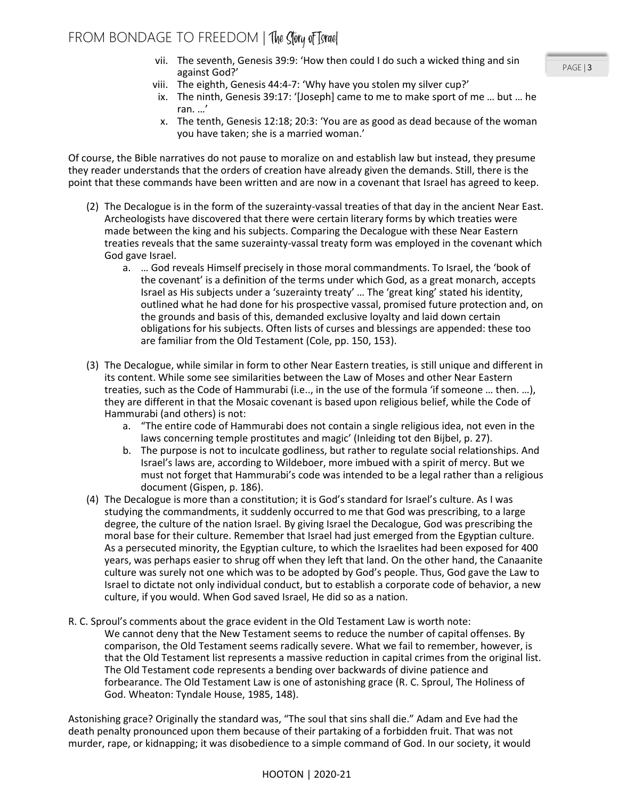- vii. The seventh, Genesis 39:9: 'How then could I do such a wicked thing and sin against God?'
- viii. The eighth, Genesis 44:4-7: 'Why have you stolen my silver cup?'
- ix. The ninth, Genesis 39:17: '[Joseph] came to me to make sport of me … but … he ran. …'
- x. The tenth, Genesis 12:18; 20:3: 'You are as good as dead because of the woman you have taken; she is a married woman.'

Of course, the Bible narratives do not pause to moralize on and establish law but instead, they presume they reader understands that the orders of creation have already given the demands. Still, there is the point that these commands have been written and are now in a covenant that Israel has agreed to keep.

- (2) The Decalogue is in the form of the suzerainty-vassal treaties of that day in the ancient Near East. Archeologists have discovered that there were certain literary forms by which treaties were made between the king and his subjects. Comparing the Decalogue with these Near Eastern treaties reveals that the same suzerainty-vassal treaty form was employed in the covenant which God gave Israel.
	- a. … God reveals Himself precisely in those moral commandments. To Israel, the 'book of the covenant' is a definition of the terms under which God, as a great monarch, accepts Israel as His subjects under a 'suzerainty treaty' … The 'great king' stated his identity, outlined what he had done for his prospective vassal, promised future protection and, on the grounds and basis of this, demanded exclusive loyalty and laid down certain obligations for his subjects. Often lists of curses and blessings are appended: these too are familiar from the Old Testament (Cole, pp. 150, 153).
- (3) The Decalogue, while similar in form to other Near Eastern treaties, is still unique and different in its content. While some see similarities between the Law of Moses and other Near Eastern treaties, such as the Code of Hammurabi (i.e.., in the use of the formula 'if someone … then. …), they are different in that the Mosaic covenant is based upon religious belief, while the Code of Hammurabi (and others) is not:
	- a. "The entire code of Hammurabi does not contain a single religious idea, not even in the laws concerning temple prostitutes and magic' (Inleiding tot den Bijbel, p. 27).
	- b. The purpose is not to inculcate godliness, but rather to regulate social relationships. And Israel's laws are, according to Wildeboer, more imbued with a spirit of mercy. But we must not forget that Hammurabi's code was intended to be a legal rather than a religious document (Gispen, p. 186).
- (4) The Decalogue is more than a constitution; it is God's standard for Israel's culture. As I was studying the commandments, it suddenly occurred to me that God was prescribing, to a large degree, the culture of the nation Israel. By giving Israel the Decalogue, God was prescribing the moral base for their culture. Remember that Israel had just emerged from the Egyptian culture. As a persecuted minority, the Egyptian culture, to which the Israelites had been exposed for 400 years, was perhaps easier to shrug off when they left that land. On the other hand, the Canaanite culture was surely not one which was to be adopted by God's people. Thus, God gave the Law to Israel to dictate not only individual conduct, but to establish a corporate code of behavior, a new culture, if you would. When God saved Israel, He did so as a nation.
- R. C. Sproul's comments about the grace evident in the Old Testament Law is worth note: We cannot deny that the New Testament seems to reduce the number of capital offenses. By comparison, the Old Testament seems radically severe. What we fail to remember, however, is that the Old Testament list represents a massive reduction in capital crimes from the original list. The Old Testament code represents a bending over backwards of divine patience and forbearance. The Old Testament Law is one of astonishing grace (R. C. Sproul, The Holiness of God. Wheaton: Tyndale House, 1985, 148).

Astonishing grace? Originally the standard was, "The soul that sins shall die." Adam and Eve had the death penalty pronounced upon them because of their partaking of a forbidden fruit. That was not murder, rape, or kidnapping; it was disobedience to a simple command of God. In our society, it would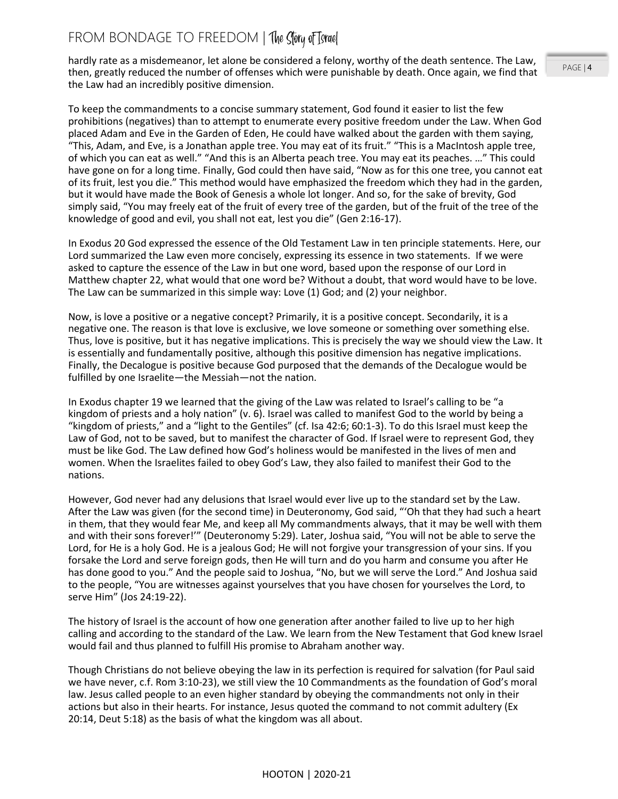hardly rate as a misdemeanor, let alone be considered a felony, worthy of the death sentence. The Law, then, greatly reduced the number of offenses which were punishable by death. Once again, we find that the Law had an incredibly positive dimension.

To keep the commandments to a concise summary statement, God found it easier to list the few prohibitions (negatives) than to attempt to enumerate every positive freedom under the Law. When God placed Adam and Eve in the Garden of Eden, He could have walked about the garden with them saying, "This, Adam, and Eve, is a Jonathan apple tree. You may eat of its fruit." "This is a MacIntosh apple tree, of which you can eat as well." "And this is an Alberta peach tree. You may eat its peaches. …" This could have gone on for a long time. Finally, God could then have said, "Now as for this one tree, you cannot eat of its fruit, lest you die." This method would have emphasized the freedom which they had in the garden, but it would have made the Book of Genesis a whole lot longer. And so, for the sake of brevity, God simply said, "You may freely eat of the fruit of every tree of the garden, but of the fruit of the tree of the knowledge of good and evil, you shall not eat, lest you die" (Gen 2:16-17).

In Exodus 20 God expressed the essence of the Old Testament Law in ten principle statements. Here, our Lord summarized the Law even more concisely, expressing its essence in two statements. If we were asked to capture the essence of the Law in but one word, based upon the response of our Lord in Matthew chapter 22, what would that one word be? Without a doubt, that word would have to be love. The Law can be summarized in this simple way: Love (1) God; and (2) your neighbor.

Now, is love a positive or a negative concept? Primarily, it is a positive concept. Secondarily, it is a negative one. The reason is that love is exclusive, we love someone or something over something else. Thus, love is positive, but it has negative implications. This is precisely the way we should view the Law. It is essentially and fundamentally positive, although this positive dimension has negative implications. Finally, the Decalogue is positive because God purposed that the demands of the Decalogue would be fulfilled by one Israelite—the Messiah—not the nation.

In Exodus chapter 19 we learned that the giving of the Law was related to Israel's calling to be "a kingdom of priests and a holy nation" (v. 6). Israel was called to manifest God to the world by being a "kingdom of priests," and a "light to the Gentiles" (cf. Isa 42:6; 60:1-3). To do this Israel must keep the Law of God, not to be saved, but to manifest the character of God. If Israel were to represent God, they must be like God. The Law defined how God's holiness would be manifested in the lives of men and women. When the Israelites failed to obey God's Law, they also failed to manifest their God to the nations.

However, God never had any delusions that Israel would ever live up to the standard set by the Law. After the Law was given (for the second time) in Deuteronomy, God said, "'Oh that they had such a heart in them, that they would fear Me, and keep all My commandments always, that it may be well with them and with their sons forever!'" (Deuteronomy 5:29). Later, Joshua said, "You will not be able to serve the Lord, for He is a holy God. He is a jealous God; He will not forgive your transgression of your sins. If you forsake the Lord and serve foreign gods, then He will turn and do you harm and consume you after He has done good to you." And the people said to Joshua, "No, but we will serve the Lord." And Joshua said to the people, "You are witnesses against yourselves that you have chosen for yourselves the Lord, to serve Him" (Jos 24:19-22).

The history of Israel is the account of how one generation after another failed to live up to her high calling and according to the standard of the Law. We learn from the New Testament that God knew Israel would fail and thus planned to fulfill His promise to Abraham another way.

Though Christians do not believe obeying the law in its perfection is required for salvation (for Paul said we have never, c.f. Rom 3:10-23), we still view the 10 Commandments as the foundation of God's moral law. Jesus called people to an even higher standard by obeying the commandments not only in their actions but also in their hearts. For instance, Jesus quoted the command to not commit adultery (Ex 20:14, Deut 5:18) as the basis of what the kingdom was all about.

PAGE | 4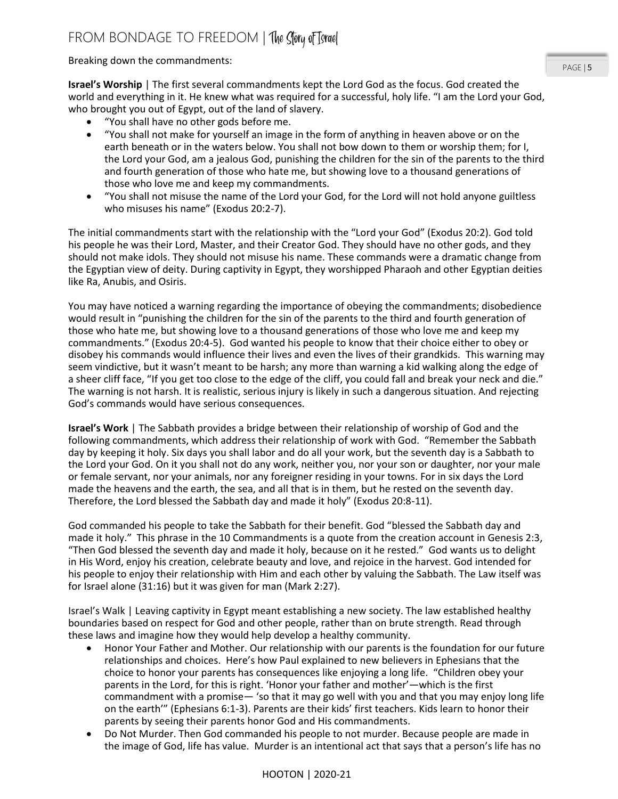Breaking down the commandments:

**Israel's Worship** | The first several commandments kept the Lord God as the focus. God created the world and everything in it. He knew what was required for a successful, holy life. "I am the Lord your God, who brought you out of Egypt, out of the land of slavery.

- "You shall have no other gods before me.
- "You shall not make for yourself an image in the form of anything in heaven above or on the earth beneath or in the waters below. You shall not bow down to them or worship them; for I, the Lord your God, am a jealous God, punishing the children for the sin of the parents to the third and fourth generation of those who hate me, but showing love to a thousand generations of those who love me and keep my commandments.
- "You shall not misuse the name of the Lord your God, for the Lord will not hold anyone guiltless who misuses his name" (Exodus 20:2-7).

The initial commandments start with the relationship with the "Lord your God" (Exodus 20:2). God told his people he was their Lord, Master, and their Creator God. They should have no other gods, and they should not make idols. They should not misuse his name. These commands were a dramatic change from the Egyptian view of deity. During captivity in Egypt, they worshipped Pharaoh and other Egyptian deities like Ra, Anubis, and Osiris.

You may have noticed a warning regarding the importance of obeying the commandments; disobedience would result in "punishing the children for the sin of the parents to the third and fourth generation of those who hate me, but showing love to a thousand generations of those who love me and keep my commandments." (Exodus 20:4-5). God wanted his people to know that their choice either to obey or disobey his commands would influence their lives and even the lives of their grandkids. This warning may seem vindictive, but it wasn't meant to be harsh; any more than warning a kid walking along the edge of a sheer cliff face, "If you get too close to the edge of the cliff, you could fall and break your neck and die." The warning is not harsh. It is realistic, serious injury is likely in such a dangerous situation. And rejecting God's commands would have serious consequences.

**Israel's Work** | The Sabbath provides a bridge between their relationship of worship of God and the following commandments, which address their relationship of work with God. "Remember the Sabbath day by keeping it holy. Six days you shall labor and do all your work, but the seventh day is a Sabbath to the Lord your God. On it you shall not do any work, neither you, nor your son or daughter, nor your male or female servant, nor your animals, nor any foreigner residing in your towns. For in six days the Lord made the heavens and the earth, the sea, and all that is in them, but he rested on the seventh day. Therefore, the Lord blessed the Sabbath day and made it holy" (Exodus 20:8-11).

God commanded his people to take the Sabbath for their benefit. God "blessed the Sabbath day and made it holy." This phrase in the 10 Commandments is a quote from the creation account in Genesis 2:3, "Then God blessed the seventh day and made it holy, because on it he rested." God wants us to delight in His Word, enjoy his creation, celebrate beauty and love, and rejoice in the harvest. God intended for his people to enjoy their relationship with Him and each other by valuing the Sabbath. The Law itself was for Israel alone (31:16) but it was given for man (Mark 2:27).

Israel's Walk | Leaving captivity in Egypt meant establishing a new society. The law established healthy boundaries based on respect for God and other people, rather than on brute strength. Read through these laws and imagine how they would help develop a healthy community.

- Honor Your Father and Mother. Our relationship with our parents is the foundation for our future relationships and choices. Here's how Paul explained to new believers in Ephesians that the choice to honor your parents has consequences like enjoying a long life. "Children obey your parents in the Lord, for this is right. 'Honor your father and mother'—which is the first commandment with a promise— 'so that it may go well with you and that you may enjoy long life on the earth'" (Ephesians 6:1-3). Parents are their kids' first teachers. Kids learn to honor their parents by seeing their parents honor God and His commandments.
- Do Not Murder. Then God commanded his people to not murder. Because people are made in the image of God, life has value. Murder is an intentional act that says that a person's life has no